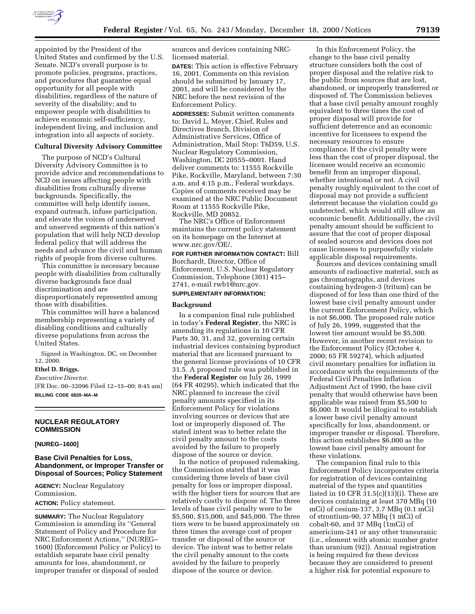

appointed by the President of the United States and confirmed by the U.S. Senate. NCD's overall purpose is to promote policies, programs, practices, and procedures that guarantee equal opportunity for all people with disabilities, regardless of the nature of severity of the disability; and to empower people with disabilities to achieve economic self-sufficiency, independent living, and inclusion and integration into all aspects of society.

#### **Cultural Diversity Advisory Committee**

The purpose of NCD's Cultural Diversity Advisory Committee is to provide advice and recommendations to NCD on issues affecting people with disabilities from culturally diverse backgrounds. Specifically, the committee will help identify issues, expand outreach, infuse participation, and elevate the voices of underserved and unserved segments of this nation's population that will help NCD develop federal policy that will address the needs and advance the civil and human rights of people from diverse cultures.

This committee is necessary because people with disabilities from culturally diverse backgrounds face dual discrimination and are disproportionately represented among those with disabilities.

This committee will have a balanced membership representing a variety of disabling conditions and culturally diverse populations from across the United States.

Signed in Washington, DC, on December 12, 2000.

## **Ethel D. Briggs,**

*Executive Director.*

[FR Doc. 00–32096 Filed 12–15–00; 8:45 am] **BILLING CODE 6820–MA–M**

### **NUCLEAR REGULATORY COMMISSION**

#### **[NUREG–1600]**

### **Base Civil Penalties for Loss, Abandonment, or Improper Transfer or Disposal of Sources; Policy Statement**

**AGENCY:** Nuclear Regulatory Commission. **ACTION:** Policy statement.

**SUMMARY:** The Nuclear Regulatory Commission is amending its ''General Statement of Policy and Procedure for NRC Enforcement Actions,'' (NUREG– 1600) (Enforcement Policy or Policy) to establish separate base civil penalty amounts for loss, abandonment, or improper transfer or disposal of sealed

sources and devices containing NRClicensed material.

**DATES:** This action is effective February 16, 2001. Comments on this revision should be submitted by January 17, 2001, and will be considered by the NRC before the next revision of the Enforcement Policy.

**ADDRESSES:** Submit written comments to: David L. Meyer, Chief, Rules and Directives Branch, Division of Administrative Services, Office of Administration, Mail Stop: T6D59, U.S. Nuclear Regulatory Commission, Washington, DC 20555–0001. Hand deliver comments to: 11555 Rockville Pike, Rockville, Maryland, between 7:30 a.m. and 4:15 p.m., Federal workdays. Copies of comments received may be examined at the NRC Public Document Room at 11555 Rockville Pike, Rockville, MD 20852.

The NRC's Office of Enforcement maintains the current policy statement on its homepage on the Internet at www.nrc.gov/OE/.

**FOR FURTHER INFORMATION CONTACT:** Bill Borchardt, Director, Office of Enforcement, U.S. Nuclear Regulatory Commission, Telephone (301) 415– 2741, e-mail rwb1@nrc.gov.

#### **SUPPLEMENTARY INFORMATION:**

#### **Background**

In a companion final rule published in today's **Federal Register**, the NRC is amending its regulations in 10 CFR Parts 30, 31, and 32, governing certain industrial devices containing byproduct material that are licensed pursuant to the general license provisions of 10 CFR 31.5. A proposed rule was published in the **Federal Register** on July 26, 1999 (64 FR 40295), which indicated that the NRC planned to increase the civil penalty amounts specified in its Enforcement Policy for violations involving sources or devices that are lost or improperly disposed of. The stated intent was to better relate the civil penalty amount to the costs avoided by the failure to properly dispose of the source or device.

In the notice of proposed rulemaking, the Commission stated that it was considering three levels of base civil penalty for loss or improper disposal, with the higher tiers for sources that are relatively costly to dispose of. The three levels of base civil penalty were to be \$5,500, \$15,000, and \$45,000. The three tiers were to be based approximately on three times the average cost of proper transfer or disposal of the source or device. The intent was to better relate the civil penalty amount to the costs avoided by the failure to properly dispose of the source or device.

In this Enforcement Policy, the change to the base civil penalty structure considers both the cost of proper disposal and the relative risk to the public from sources that are lost, abandoned, or improperly transferred or disposed of. The Commission believes that a base civil penalty amount roughly equivalent to three times the cost of proper disposal will provide for sufficient deterrence and an economic incentive for licensees to expend the necessary resources to ensure compliance. If the civil penalty were less than the cost of proper disposal, the licensee would receive an economic benefit from an improper disposal, whether intentional or not. A civil penalty roughly equivalent to the cost of disposal may not provide a sufficient deterrent because the violation could go undetected, which would still allow an economic benefit. Additionally, the civil penalty amount should be sufficient to assure that the cost of proper disposal of sealed sources and devices does not cause licensees to purposefully violate applicable disposal requirements.

Sources and devices containing small amounts of radioactive material, such as gas chromatographs, and devices containing hydrogen-3 (tritum) can be disposed of for less than one third of the lowest base civil penalty amount under the current Enforcement Policy, which is not \$6,000. The proposed rule notice of July 26, 1999, suggested that the lowest tier amount would be \$5,500. However, in another recent revision to the Enforcement Policy (October 4, 2000; 65 FR 59274), which adjusted civil monetary penalties for inflation in accordance with the requirements of the Federal Civil Penalties Inflation Adjustment Act of 1990, the base civil penalty that would otherwise have been applicable was raised from \$5,500 to \$6,000. It would be illogical to establish a lower base civil penalty amount specifically for loss, abandonment, or improper transfer or disposal. Therefore, this action establishes \$6,000 as the lowest base civil penalty amount for these violations.

The companion final rule to this Enforcement Policy incorporates criteria for registration of devices containing material of the types and quantities listed in 10 CFR 31.5(c)(13)(i). These are devices containing at least 370 MBq (10 mCi) of cesium-137, 3.7 MBq (0.1 mCi) of strontium-90, 37 MBq (1 mCi) of cobalt-60, and 37 MBq (1mCi) of americium-241 or any other transuranic (i.e., element with atomic number grater than uranium (92)). Annual registration is being required for these devices because they are considered to present a higher risk for potential exposure to